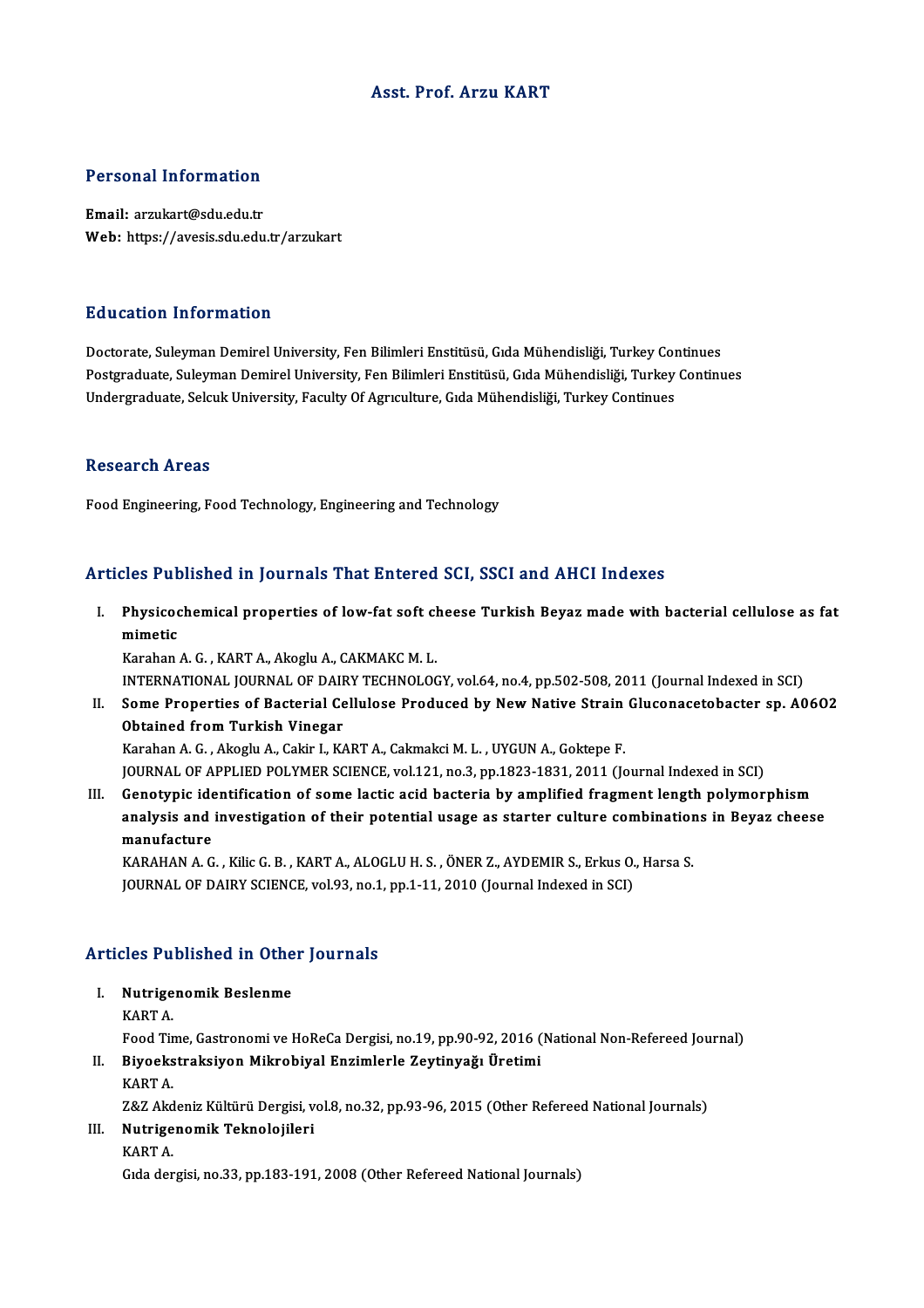### Asst. Prof. Arzu KART

#### Personal Information

Email: arzukart@sdu.edu.tr Web: https://avesis.sdu.edu.tr/arzukart

#### Education Information

<mark>Education Information</mark><br>Doctorate, Suleyman Demirel University, Fen Bilimleri Enstitüsü, Gıda Mühendisliği, Turkey Continues<br>Postsraduate Suleyman Demirel University, Fen Bilimleri Enstitüsü, Gıda Mühendisliği, Turkey Cont Puususeen Tittof interon<br>Doctorate, Suleyman Demirel University, Fen Bilimleri Enstitüsü, Gıda Mühendisliği, Turkey Continues<br>Postgraduate, Suleyman Demirel University, Fen Bilimleri Enstitüsü, Gıda Mühendisliği, Turkey Co Postgraduate, Suleyman Demirel University, Fen Bilimleri Enstitüsü, Gıda Mühendisliği, Turkey Continues<br>Undergraduate, Selcuk University, Faculty Of Agrıculture, Gıda Mühendisliği, Turkey Continues

#### **Research Areas**

Food Engineering, Food Technology, Engineering and Technology

#### Articles Published in Journals That Entered SCI, SSCI and AHCI Indexes

I. Physicochemical properties of low-fat soft cheese Turkish Beyazmade with bacterial cel ulose as fat Physicod<br>Physicod<br>Karaban Physicochemical properties of low-fat soft cl<br>mimetic<br>Karahan A. G. , KART A., Akoglu A., CAKMAKC M. L.<br>INTERNATIONAL JOURNAL OF DAIRY TECHNOLOG

mimetic<br>Karahan A. G. , KART A., Akoglu A., CAKMAKC M. L.<br>INTERNATIONAL JOURNAL OF DAIRY TECHNOLOGY, vol.64, no.4, pp.502-508, 2011 (Journal Indexed in SCI)

- Karahan A. G. , KART A., Akoglu A., CAKMAKC M. L.<br>INTERNATIONAL JOURNAL OF DAIRY TECHNOLOGY, vol.64, no.4, pp.502-508, 2011 (Journal Indexed in SCI)<br>II. Some Properties of Bacterial Cellulose Produced by New Native Strain INTERNATIONAL JOURNAL OF DAIF<br>Some Properties of Bacterial Ce<br>Obtained from Turkish Vinegar<br>Karaban A.C. Akaglu A. Cakin L.K. Some Properties of Bacterial Cellulose Produced by New Native Strain<br>Obtained from Turkish Vinegar<br>Karahan A. G. , Akoglu A., Cakir I., KART A., Cakmakci M. L. , UYGUN A., Goktepe F.<br>JOUPMAL OF APPLIED BOLYMER SCIENCE YOL1 Obtained from Turkish Vinegar<br>Karahan A. G. , Akoglu A., Cakir I., KART A., Cakmakci M. L. , UYGUN A., Goktepe F.<br>JOURNAL OF APPLIED POLYMER SCIENCE, vol.121, no.3, pp.1823-1831, 2011 (Journal Indexed in SCI)
- Karahan A. G., Akoglu A., Cakir I., KART A., Cakmakci M. L., UYGUN A., Goktepe F.<br>JOURNAL OF APPLIED POLYMER SCIENCE, vol.121, no.3, pp.1823-1831, 2011 (Journal Indexed in SCI)<br>III. Genotypic identification of some lactic JOURNAL OF APPLIED POLYMER SCIENCE, vol.121, no.3, pp.1823-1831, 2011 (Journal Indexed in SCI)<br>Genotypic identification of some lactic acid bacteria by amplified fragment length polymorphism<br>analysis and investigation of t **Genotypic ide<br>analysis and<br>manufacture<br>KARAHAN A.C** analysis and investigation of their potential usage as starter culture combination<br>manufacture<br>KARAHAN A.G., Kilic G.B., KART A., ALOGLU H.S., ÖNER Z., AYDEMIR S., Erkus O., Harsa S.<br>JOUPMAL OF DAJPY SCIENCE val 93, no.1,

manufacture<br>KARAHAN A. G. , Kilic G. B. , KART A., ALOGLU H. S. , ÖNER Z., AYDEMIR S., Erkus O., Harsa S.<br>JOURNAL OF DAIRY SCIENCE, vol.93, no.1, pp.1-11, 2010 (Journal Indexed in SCI)

## Articles Published in Other Journals rticles Published in Othe<br>I. Nutrigenomik Beslenme<br>KAPTA

I. Nutrigenomik Beslenme<br>KART A.

Food Time, Gastronomi ve HoReCa Dergisi, no.19, pp.90-92, 2016 (National Non-Refereed Journal)

- KART A.<br>Food Time, Gastronomi ve HoReCa Dergisi, no.19, pp.90-92, 2016 (<br>II. Biyoekstraksiyon Mikrobiyal Enzimlerle Zeytinyağı Üretimi<br>KART A Food Tir<br><mark>Biyoeks</mark><br>KART A.<br>787 Akd KART A.<br>Z&Z Akdeniz Kültürü Dergisi, vol.8, no.32, pp.93-96, 2015 (Other Refereed National Journals) KART A.<br>Z&Z Akdeniz Kültürü Dergisi, v<br>III. Nutrigenomik Teknolojileri<br>KAPT A
- Z&Z Akd<br>**Nutrige**<br>KART A.
	-

KART A.<br>Gıda dergisi, no.33, pp.183-191, 2008 (Other Refereed National Journals)